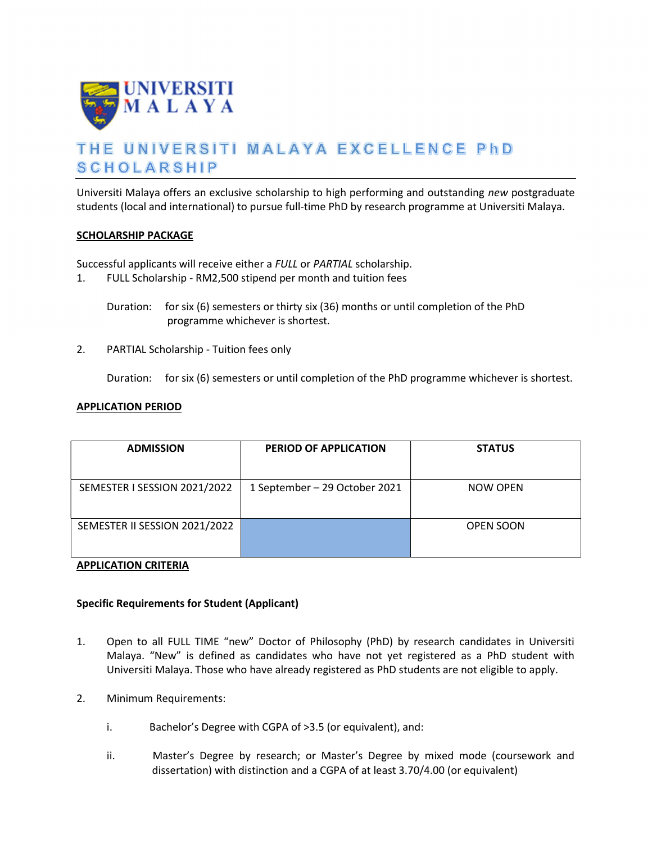

# THE UNIVERSITI MALAYA EXCELLENCE PhD **SCHOLARSHIP**

Universiti Malaya offers an exclusive scholarship to high performing and outstanding new postgraduate students (local and international) to pursue full-time PhD by research programme at Universiti Malaya.

### SCHOLARSHIP PACKAGE

Successful applicants will receive either a FULL or PARTIAL scholarship.

1. FULL Scholarship - RM2,500 stipend per month and tuition fees

Duration: for six (6) semesters or thirty six (36) months or until completion of the PhD programme whichever is shortest.

2. PARTIAL Scholarship - Tuition fees only

Duration: for six (6) semesters or until completion of the PhD programme whichever is shortest.

### APPLICATION PERIOD

| <b>ADMISSION</b>              | <b>PERIOD OF APPLICATION</b>  | <b>STATUS</b>    |
|-------------------------------|-------------------------------|------------------|
| SEMESTER I SESSION 2021/2022  | 1 September - 29 October 2021 | NOW OPEN         |
| SEMESTER II SESSION 2021/2022 |                               | <b>OPEN SOON</b> |

# APPLICATION CRITERIA

# Specific Requirements for Student (Applicant)

- 1. Open to all FULL TIME "new" Doctor of Philosophy (PhD) by research candidates in Universiti Malaya. "New" is defined as candidates who have not yet registered as a PhD student with Universiti Malaya. Those who have already registered as PhD students are not eligible to apply.
- 2. Minimum Requirements:
	- i. Bachelor's Degree with CGPA of >3.5 (or equivalent), and:
	- ii. Master's Degree by research; or Master's Degree by mixed mode (coursework and dissertation) with distinction and a CGPA of at least 3.70/4.00 (or equivalent)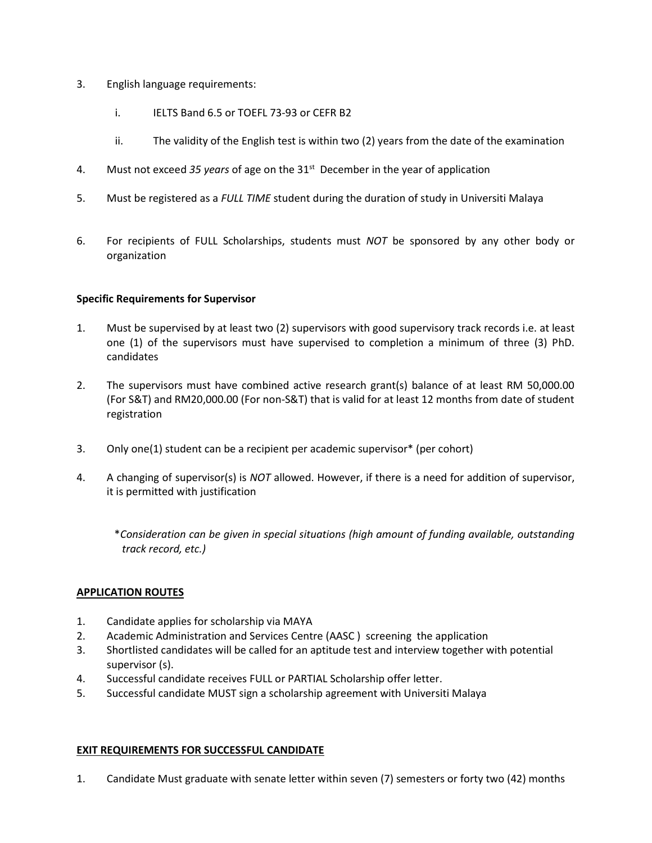- 3. English language requirements:
	- i. IELTS Band 6.5 or TOEFL 73-93 or CEFR B2
	- ii. The validity of the English test is within two (2) years from the date of the examination
- 4. Must not exceed 35 years of age on the  $31<sup>st</sup>$  December in the year of application
- 5. Must be registered as a FULL TIME student during the duration of study in Universiti Malaya
- 6. For recipients of FULL Scholarships, students must NOT be sponsored by any other body or organization

# Specific Requirements for Supervisor

- 1. Must be supervised by at least two (2) supervisors with good supervisory track records i.e. at least one (1) of the supervisors must have supervised to completion a minimum of three (3) PhD. candidates
- 2. The supervisors must have combined active research grant(s) balance of at least RM 50,000.00 (For S&T) and RM20,000.00 (For non-S&T) that is valid for at least 12 months from date of student registration
- 3. Only one(1) student can be a recipient per academic supervisor\* (per cohort)
- 4. A changing of supervisor(s) is *NOT* allowed. However, if there is a need for addition of supervisor, it is permitted with justification
	- \*Consideration can be given in special situations (high amount of funding available, outstanding track record, etc.)

# APPLICATION ROUTES

- 1. Candidate applies for scholarship via MAYA
- 2. Academic Administration and Services Centre (AASC ) screening the application
- 3. Shortlisted candidates will be called for an aptitude test and interview together with potential supervisor (s).
- 4. Successful candidate receives FULL or PARTIAL Scholarship offer letter.
- 5. Successful candidate MUST sign a scholarship agreement with Universiti Malaya

# EXIT REQUIREMENTS FOR SUCCESSFUL CANDIDATE

1. Candidate Must graduate with senate letter within seven (7) semesters or forty two (42) months